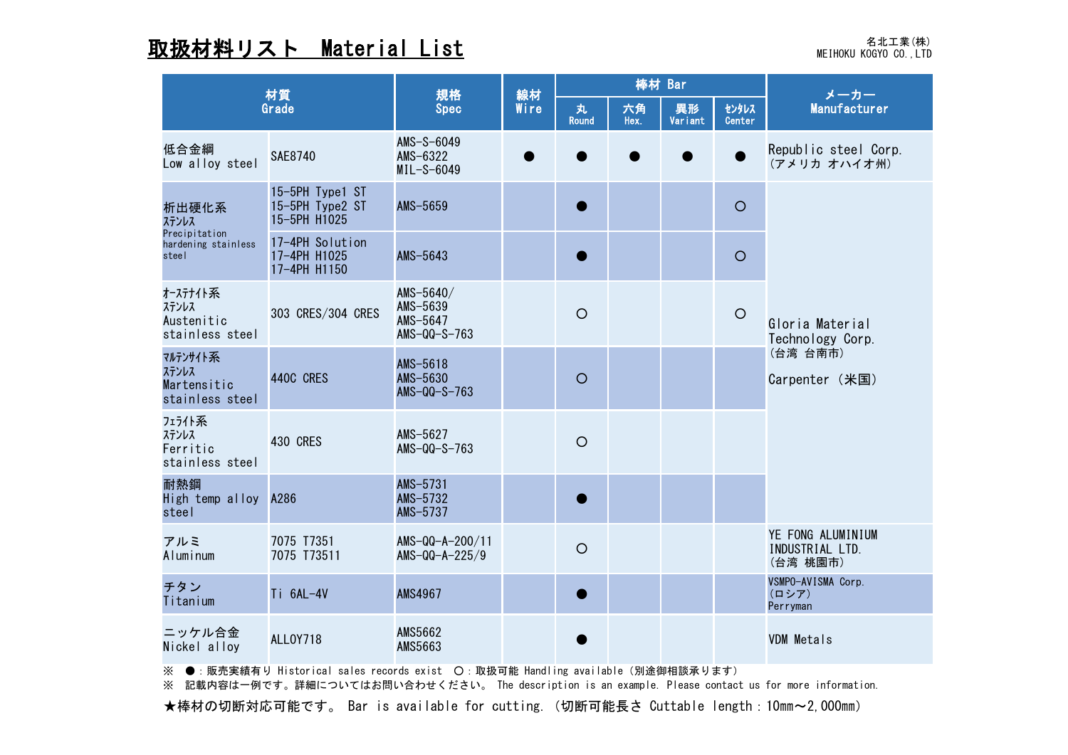## weihoku kogyo co.,LTD **Material List および (Material Microsoft Distance Additional Additional Additional Addition**

| 材質<br>Grade                                                     |                                                    | 規格<br><b>Spec</b>                                       | 線材<br>Wire | 棒材 Bar            |            |               |                 | メーカー                                                              |  |
|-----------------------------------------------------------------|----------------------------------------------------|---------------------------------------------------------|------------|-------------------|------------|---------------|-----------------|-------------------------------------------------------------------|--|
|                                                                 |                                                    |                                                         |            | 丸<br><b>Round</b> | 六角<br>Hex. | 異形<br>Variant | センタレス<br>Center | Manufacturer                                                      |  |
| 低合金綱<br>Low alloy steel                                         | <b>SAE8740</b>                                     | $AMS-S-6049$<br>AMS $-6322$<br>$MIL-S-6049$             |            |                   |            |               |                 | Republic steel Corp.<br>(アメリカ オハイオ州)                              |  |
| 析出硬化系<br>ステンレス<br>Precipitation<br>hardening stainless<br>steel | 15-5PH Type1 ST<br>15-5PH Type2 ST<br>15-5PH H1025 | AMS-5659                                                |            |                   |            |               | $\bigcirc$      |                                                                   |  |
|                                                                 | 17-4PH Solution<br>17-4PH H1025<br>17-4PH H1150    | AMS-5643                                                |            |                   |            |               | $\bigcirc$      |                                                                   |  |
| オーステナイト系<br>ステンレス<br>Austenitic<br>stainless steel              | 303 CRES/304 CRES                                  | AMS $-5640/$<br>AMS-5639<br>AMS-5647<br>AMS $-QQ-S-763$ |            | $\bigcirc$        |            |               | $\bigcirc$      | Gloria Material<br>Technology Corp.<br>(台湾 台南市)<br>Carpenter (米国) |  |
| マルテンサイト系<br>ステンレス<br>Martensitic<br>stainless steel             | 440C CRES                                          | AMS-5618<br>AMS-5630<br>AMS $-QQ-S-763$                 |            | $\circ$           |            |               |                 |                                                                   |  |
| フェライト系<br>ステンレス<br>Ferritic<br>stainless steel                  | <b>430 CRES</b>                                    | AMS-5627<br>AMS $-QQ-S-763$                             |            | $\bigcirc$        |            |               |                 |                                                                   |  |
| 耐熱鋼<br>High temp alloy A286<br>steel                            |                                                    | AMS-5731<br>AMS-5732<br>AMS-5737                        |            |                   |            |               |                 |                                                                   |  |
| アルミ<br>Aluminum                                                 | 7075 T7351<br>7075 T73511                          | $AMS-QQ-A-200/11$<br>AMS-QQ-A-225/9                     |            | $\bigcirc$        |            |               |                 | YE FONG ALUMINIUM<br>INDUSTRIAL LTD.<br>(台湾 桃園市)                  |  |
| チタン<br>Titanium                                                 | Ti 6AL-4V                                          | <b>AMS4967</b>                                          |            |                   |            |               |                 | VSMPO-AVISMA Corp.<br>(ロシア)<br>Perryman                           |  |
| ニッケル合金<br>Nickel alloy                                          | <b>ALLOY718</b>                                    | <b>AMS5662</b><br><b>AMS5663</b>                        |            |                   |            |               |                 | VDM Metals                                                        |  |

※ ●:販売実績有り Historical sales records exist 〇:取扱可能 Handling available (別途御相談承ります)

※ 記載内容は一例です。詳細についてはお問い合わせください。 The description is an example. Please contact us for more information.

**★棒材の切断対応可能です。 Bar is available for cutting. (切断可能長さ Cuttable length: 10mm~2,000mm)**